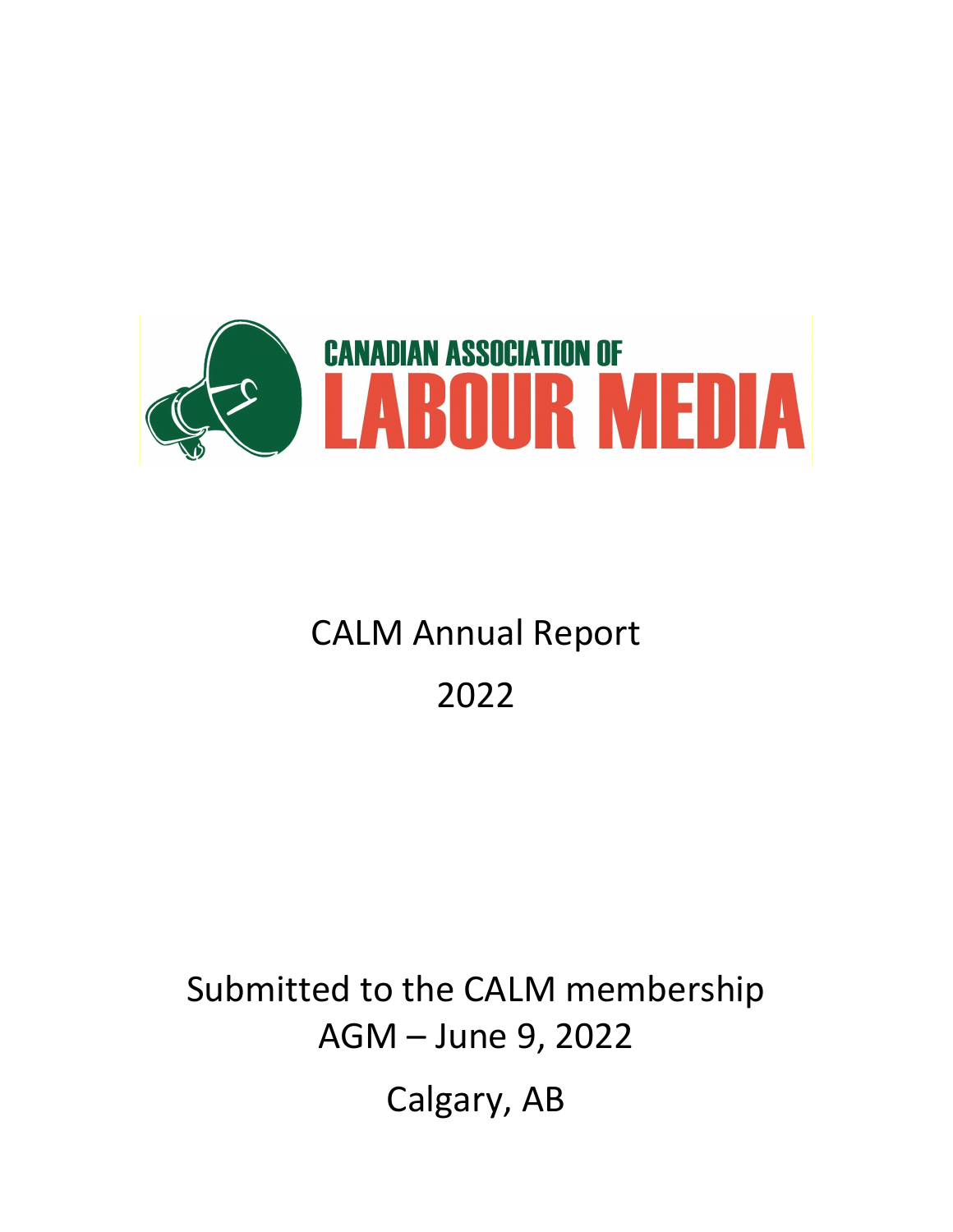

# **CALM Annual Report**

# 2022

# Submitted to the CALM membership AGM – June 9, 2022 Calgary, AB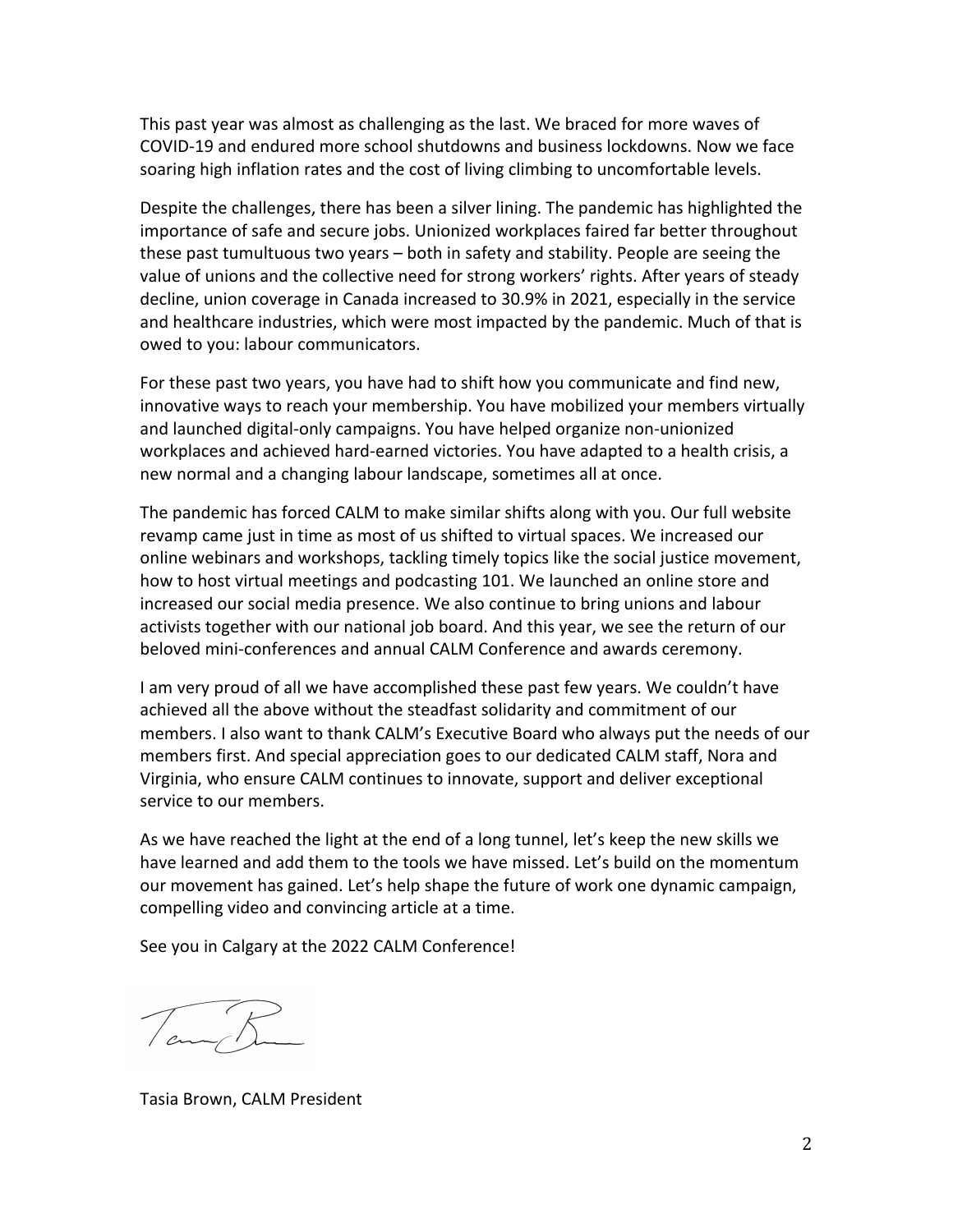This past year was almost as challenging as the last. We braced for more waves of COVID-19 and endured more school shutdowns and business lockdowns. Now we face soaring high inflation rates and the cost of living climbing to uncomfortable levels.

Despite the challenges, there has been a silver lining. The pandemic has highlighted the importance of safe and secure jobs. Unionized workplaces faired far better throughout these past tumultuous two years – both in safety and stability. People are seeing the value of unions and the collective need for strong workers' rights. After years of steady decline, union coverage in Canada increased to 30.9% in 2021, especially in the service and healthcare industries, which were most impacted by the pandemic. Much of that is owed to you: labour communicators.

For these past two years, you have had to shift how you communicate and find new, innovative ways to reach your membership. You have mobilized your members virtually and launched digital-only campaigns. You have helped organize non-unionized workplaces and achieved hard-earned victories. You have adapted to a health crisis, a new normal and a changing labour landscape, sometimes all at once.

The pandemic has forced CALM to make similar shifts along with you. Our full website revamp came just in time as most of us shifted to virtual spaces. We increased our online webinars and workshops, tackling timely topics like the social justice movement, how to host virtual meetings and podcasting 101. We launched an online store and increased our social media presence. We also continue to bring unions and labour activists together with our national job board. And this year, we see the return of our beloved mini-conferences and annual CALM Conference and awards ceremony.

I am very proud of all we have accomplished these past few years. We couldn't have achieved all the above without the steadfast solidarity and commitment of our members. I also want to thank CALM's Executive Board who always put the needs of our members first. And special appreciation goes to our dedicated CALM staff, Nora and Virginia, who ensure CALM continues to innovate, support and deliver exceptional service to our members.

As we have reached the light at the end of a long tunnel, let's keep the new skills we have learned and add them to the tools we have missed. Let's build on the momentum our movement has gained. Let's help shape the future of work one dynamic campaign, compelling video and convincing article at a time.

See you in Calgary at the 2022 CALM Conference!

 $\pi R$ 

Tasia!Brown,!CALM!President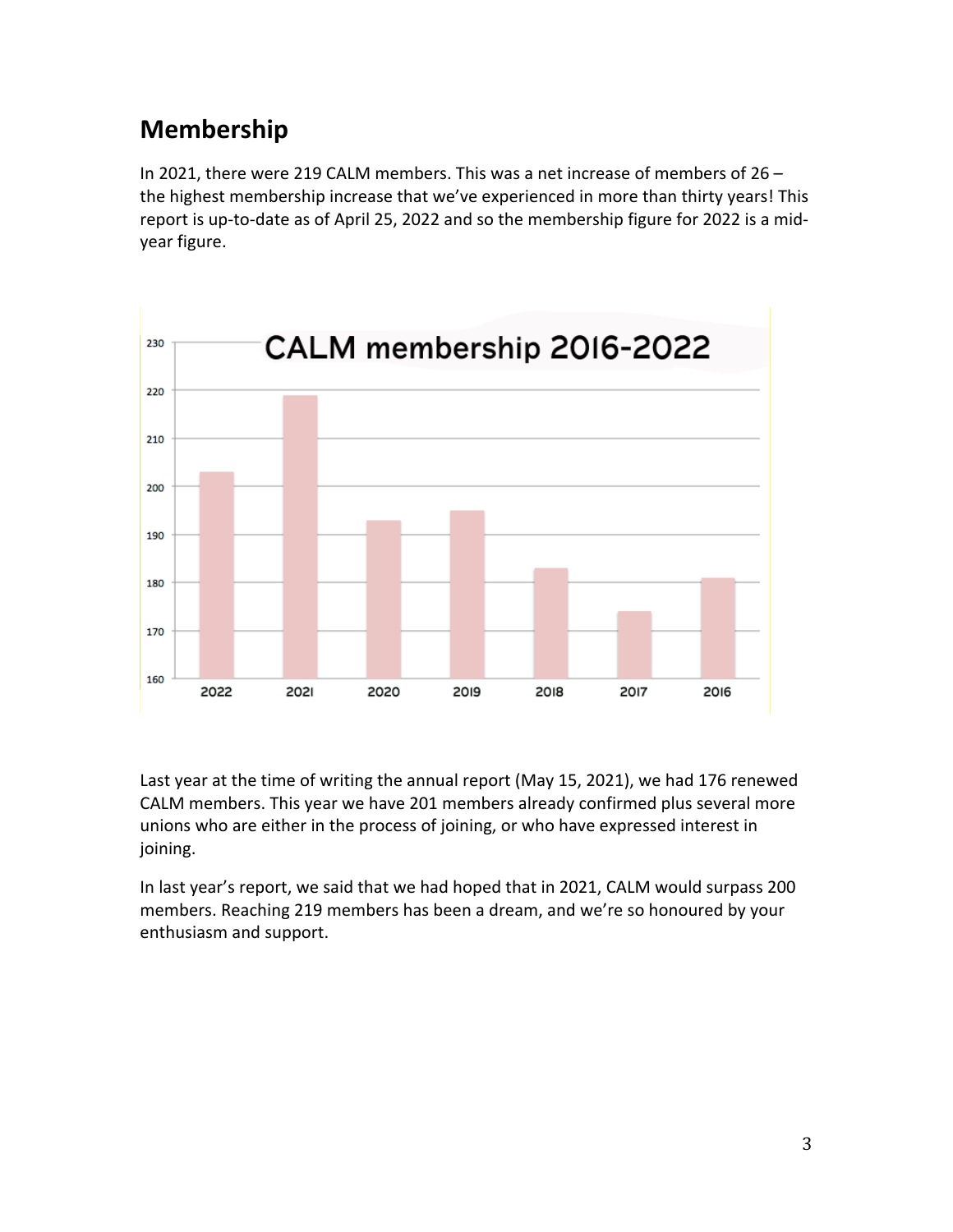## **Membership**

In 2021, there were 219 CALM members. This was a net increase of members of 26 – the highest membership increase that we've experienced in more than thirty years! This report is up-to-date as of April 25, 2022 and so the membership figure for 2022 is a midyear figure.



Last year at the time of writing the annual report (May 15, 2021), we had 176 renewed CALM members. This year we have 201 members already confirmed plus several more unions who are either in the process of joining, or who have expressed interest in joining.

In last year's report, we said that we had hoped that in 2021, CALM would surpass 200 members. Reaching 219 members has been a dream, and we're so honoured by your enthusiasm and support.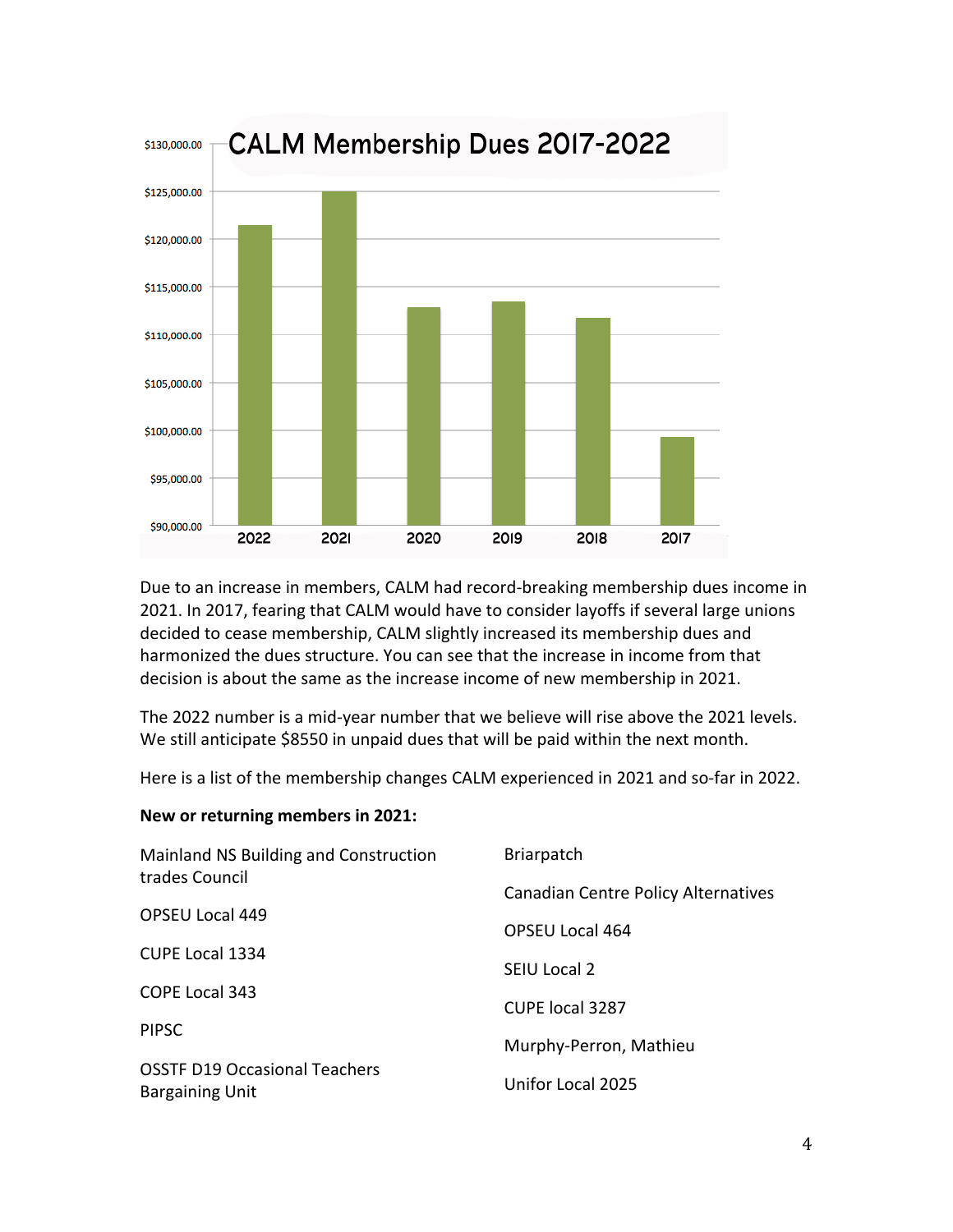

Due to an increase in members, CALM had record-breaking membership dues income in 2021. In 2017, fearing that CALM would have to consider layoffs if several large unions decided to cease membership, CALM slightly increased its membership dues and harmonized the dues structure. You can see that the increase in income from that decision is about the same as the increase income of new membership in 2021.

The 2022 number is a mid-year number that we believe will rise above the 2021 levels. We still anticipate \$8550 in unpaid dues that will be paid within the next month.

Here is a list of the membership changes CALM experienced in 2021 and so-far in 2022.

#### New or returning members in 2021:

| Mainland NS Building and Construction<br>trades Council        | <b>Briarpatch</b>                   |
|----------------------------------------------------------------|-------------------------------------|
|                                                                | Canadian Centre Policy Alternatives |
| <b>OPSEU Local 449</b>                                         | OPSEU Local 464                     |
| <b>CUPE Local 1334</b>                                         | SEIU Local 2                        |
| <b>COPE Local 343</b>                                          | <b>CUPE local 3287</b>              |
| <b>PIPSC</b>                                                   |                                     |
|                                                                | Murphy-Perron, Mathieu              |
| <b>OSSTF D19 Occasional Teachers</b><br><b>Bargaining Unit</b> | Unifor Local 2025                   |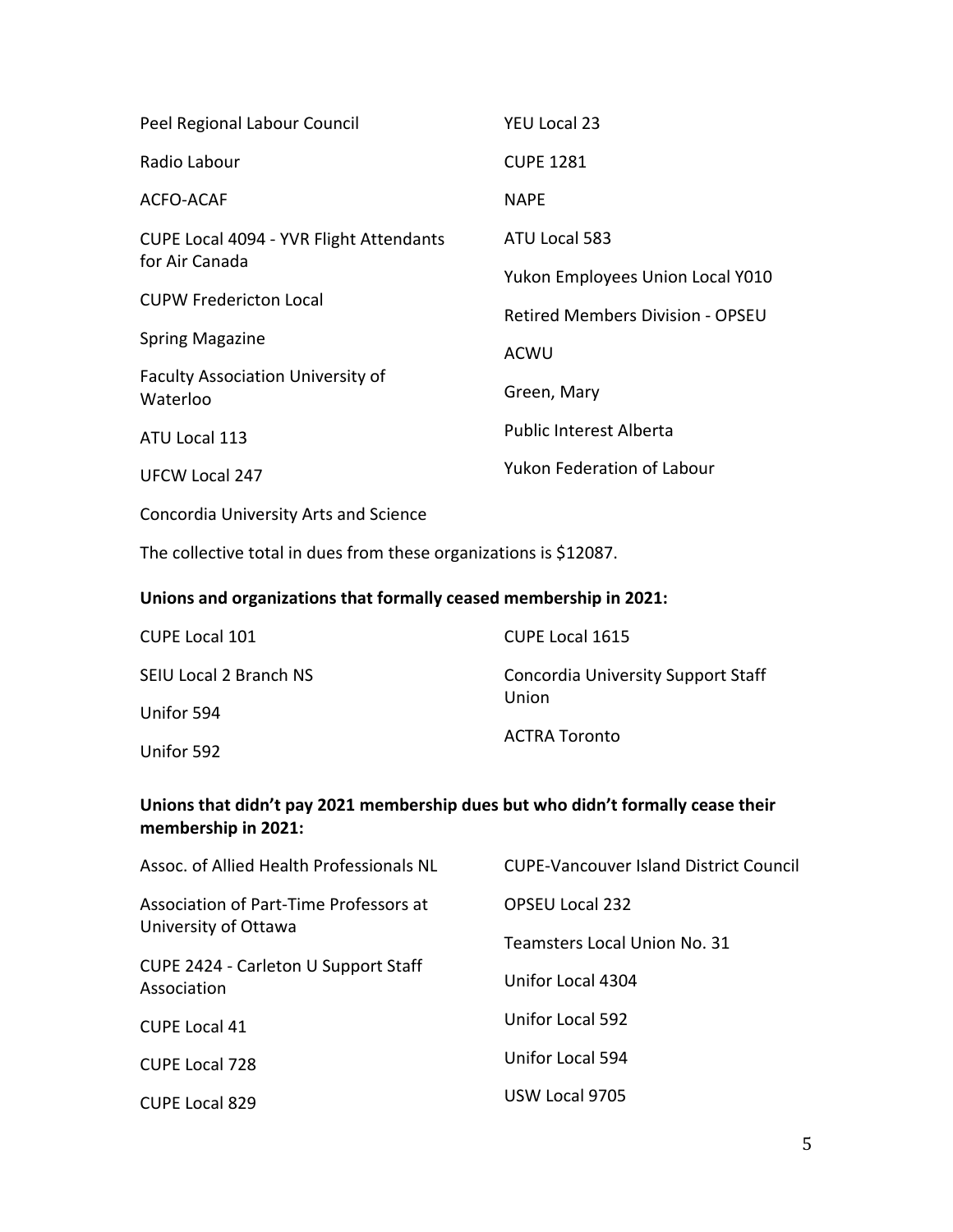| Peel Regional Labour Council                            | <b>YEU Local 23</b>                     |
|---------------------------------------------------------|-----------------------------------------|
| Radio Labour                                            | <b>CUPE 1281</b>                        |
| ACFO-ACAF                                               | <b>NAPF</b>                             |
| CUPE Local 4094 - YVR Flight Attendants                 | ATU Local 583                           |
| for Air Canada                                          | Yukon Employees Union Local Y010        |
| <b>CUPW Fredericton Local</b><br><b>Spring Magazine</b> | <b>Retired Members Division - OPSEU</b> |
|                                                         | ACWU                                    |
| <b>Faculty Association University of</b><br>Waterloo    | Green, Mary                             |
| ATU Local 113                                           | <b>Public Interest Alberta</b>          |
| <b>UFCW Local 247</b>                                   | <b>Yukon Federation of Labour</b>       |

Concordia University Arts and Science

The collective total in dues from these organizations is \$12087.

#### Unions and organizations that formally ceased membership in 2021:

| <b>CUPE Local 101</b>  | <b>CUPE Local 1615</b>                      |
|------------------------|---------------------------------------------|
| SEIU Local 2 Branch NS | Concordia University Support Staff<br>Union |
| Unifor 594             |                                             |
| Unifor 592             | ACTRA Toronto                               |

#### Unions that didn't pay 2021 membership dues but who didn't formally cease their membership in 2021:

| Assoc. of Allied Health Professionals NL                                                                              | CUPF-Vancouver Island District Council |
|-----------------------------------------------------------------------------------------------------------------------|----------------------------------------|
| Association of Part-Time Professors at<br>University of Ottawa<br>CUPE 2424 - Carleton U Support Staff<br>Association | <b>OPSEU Local 232</b>                 |
|                                                                                                                       | Teamsters Local Union No. 31           |
|                                                                                                                       | Unifor Local 4304                      |
| <b>CUPE Local 41</b>                                                                                                  | Unifor Local 592                       |
| <b>CUPE Local 728</b>                                                                                                 | Unifor Local 594                       |
| <b>CUPE Local 829</b>                                                                                                 | USW Local 9705                         |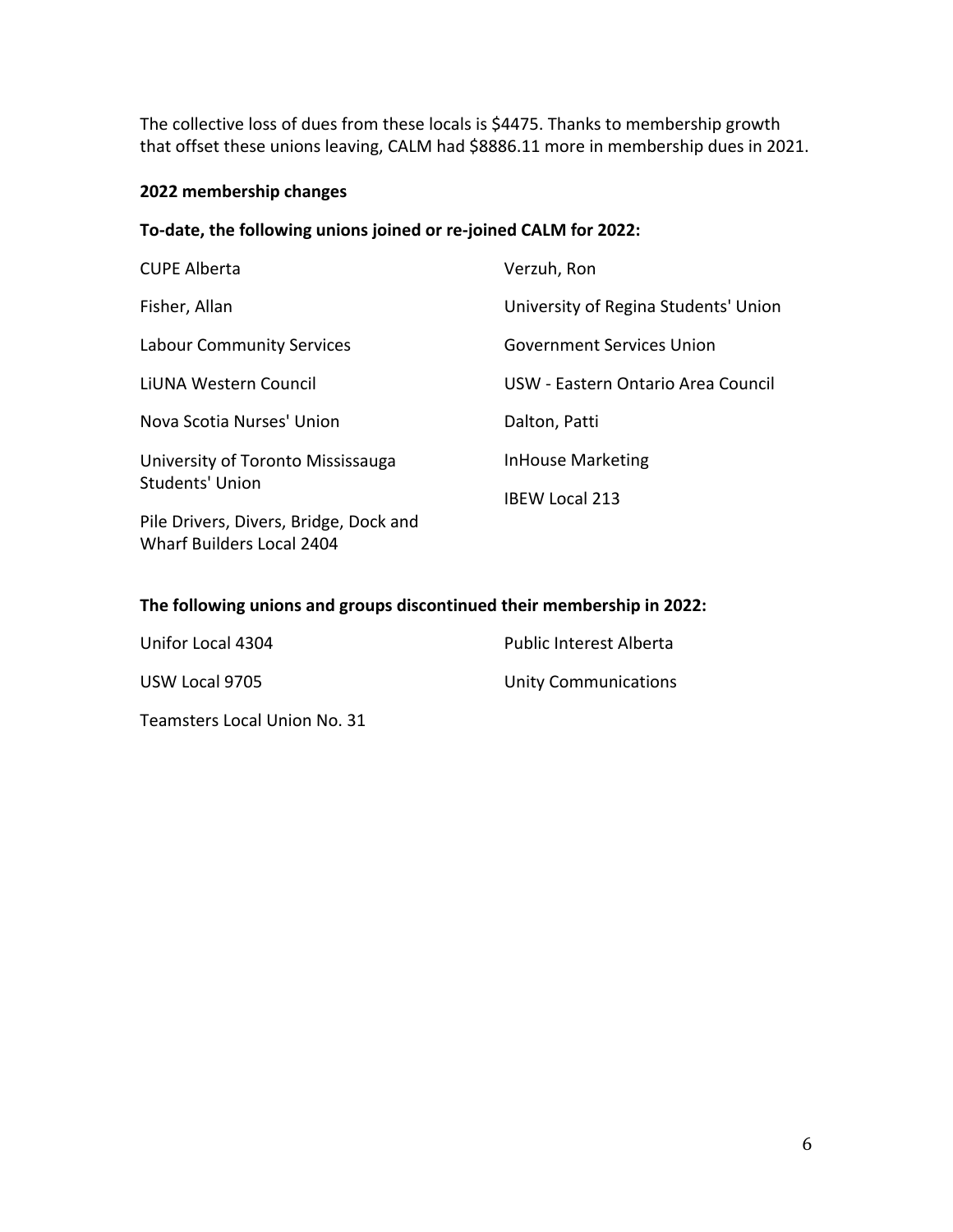The collective loss of dues from these locals is \$4475. Thanks to membership growth that offset these unions leaving, CALM had \$8886.11 more in membership dues in 2021.

#### **2022 membership\*changes**

#### To-date, the following unions joined or re-joined CALM for 2022:

| <b>CUPE Alberta</b>                                                                                                                | Verzuh, Ron                          |
|------------------------------------------------------------------------------------------------------------------------------------|--------------------------------------|
| Fisher, Allan                                                                                                                      | University of Regina Students' Union |
| <b>Labour Community Services</b>                                                                                                   | <b>Government Services Union</b>     |
| LIUNA Western Council                                                                                                              | USW - Eastern Ontario Area Council   |
| Nova Scotia Nurses' Union                                                                                                          | Dalton, Patti                        |
| University of Toronto Mississauga<br><b>Students' Union</b><br>Pile Drivers, Divers, Bridge, Dock and<br>Wharf Builders Local 2404 | <b>InHouse Marketing</b>             |
|                                                                                                                                    | <b>IBEW Local 213</b>                |
|                                                                                                                                    |                                      |
|                                                                                                                                    |                                      |

#### The following unions and groups discontinued their membership in 2022:

| Unifor Local 4304            | <b>Public Interest Alberta</b> |
|------------------------------|--------------------------------|
| USW Local 9705               | <b>Unity Communications</b>    |
| Teamsters Local Union No. 31 |                                |

6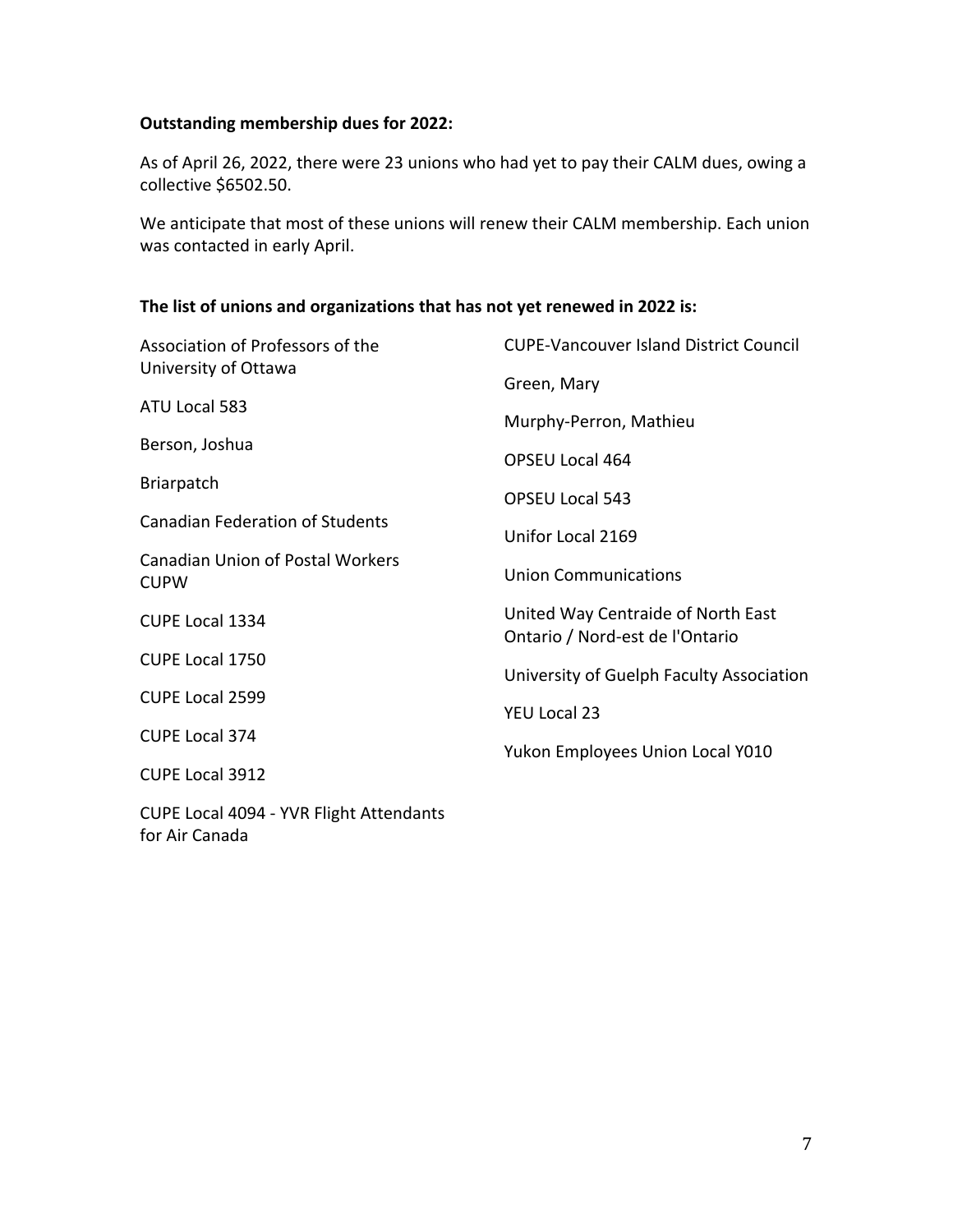#### **Outstanding membership dues for 2022:**

As of April 26, 2022, there were 23 unions who had yet to pay their CALM dues, owing a collective \$6502.50.

We anticipate that most of these unions will renew their CALM membership. Each union was contacted in early April.

#### The list of unions and organizations that has not yet renewed in 2022 is:

| Association of Professors of the<br>University of Ottawa                                         | <b>CUPE-Vancouver Island District Council</b>                         |  |
|--------------------------------------------------------------------------------------------------|-----------------------------------------------------------------------|--|
|                                                                                                  | Green, Mary                                                           |  |
| ATU Local 583                                                                                    | Murphy-Perron, Mathieu                                                |  |
| Berson, Joshua                                                                                   | <b>OPSEU Local 464</b>                                                |  |
| <b>Briarpatch</b>                                                                                |                                                                       |  |
|                                                                                                  | <b>OPSEU Local 543</b>                                                |  |
| <b>Canadian Federation of Students</b><br><b>Canadian Union of Postal Workers</b><br><b>CUPW</b> | Unifor Local 2169                                                     |  |
|                                                                                                  | <b>Union Communications</b>                                           |  |
|                                                                                                  |                                                                       |  |
| CUPE Local 1334                                                                                  | United Way Centraide of North East<br>Ontario / Nord-est de l'Ontario |  |
| CUPE Local 1750                                                                                  |                                                                       |  |
|                                                                                                  | University of Guelph Faculty Association                              |  |
| CUPE Local 2599                                                                                  | YEU Local 23                                                          |  |
| <b>CUPE Local 374</b>                                                                            |                                                                       |  |
| CUPE Local 3912                                                                                  | Yukon Employees Union Local Y010                                      |  |
| CURE Local 4004 W/D Flight Attendants                                                            |                                                                       |  |

CUPE Local 4094 - YVR Flight Attendants for Air Canada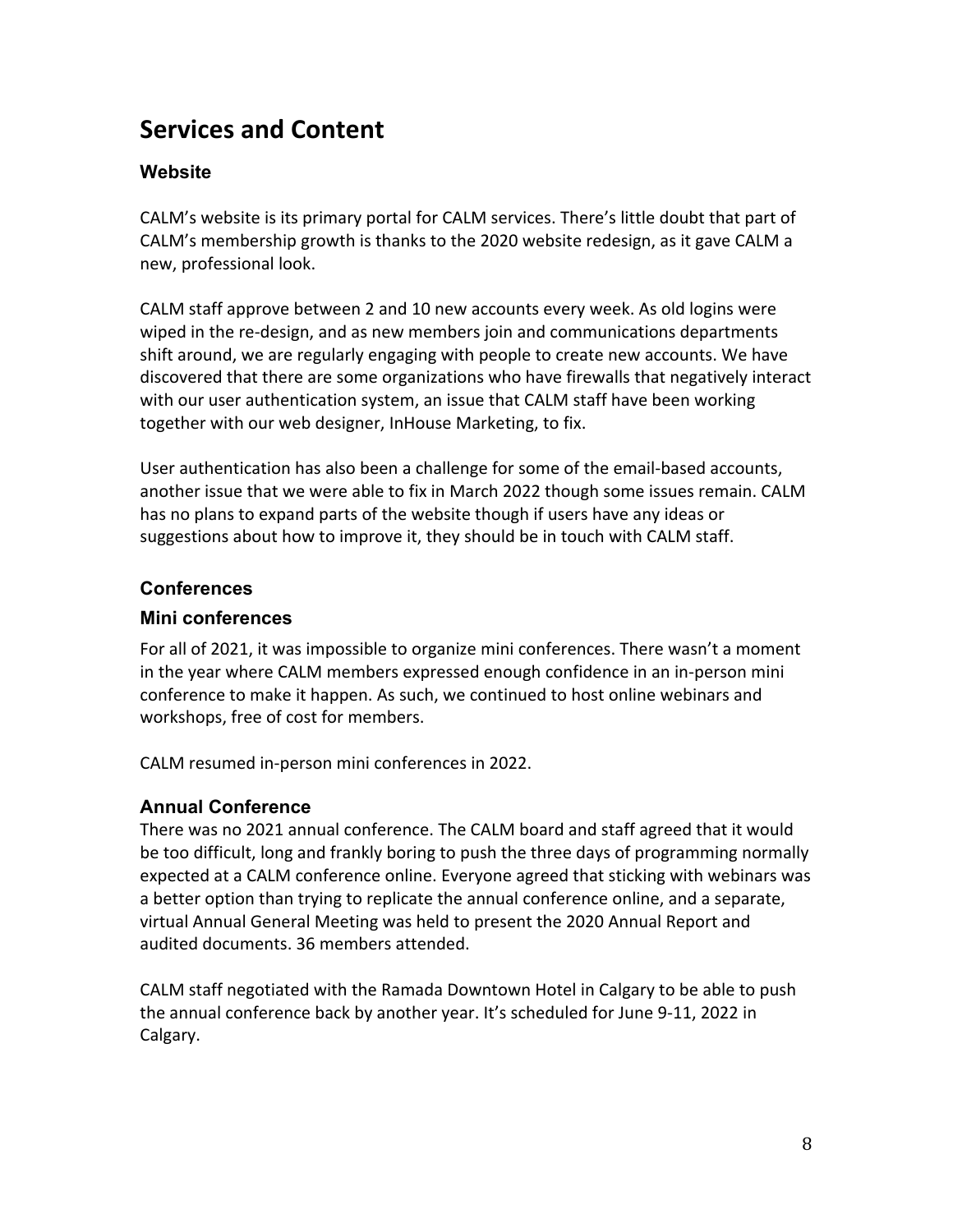## **Services and Content**

#### **Website**

CALM's website is its primary portal for CALM services. There's little doubt that part of CALM's membership growth is thanks to the 2020 website redesign, as it gave CALM a new, professional look.

CALM staff approve between 2 and 10 new accounts every week. As old logins were wiped in the re-design, and as new members join and communications departments shift around, we are regularly engaging with people to create new accounts. We have discovered that there are some organizations who have firewalls that negatively interact with our user authentication system, an issue that CALM staff have been working together with our web designer, InHouse Marketing, to fix.

User authentication has also been a challenge for some of the email-based accounts, another issue that we were able to fix in March 2022 though some issues remain. CALM has no plans to expand parts of the website though if users have any ideas or suggestions about how to improve it, they should be in touch with CALM staff.

#### **Conferences**

#### **Mini conferences**

For all of 2021, it was impossible to organize mini conferences. There wasn't a moment in the year where CALM members expressed enough confidence in an in-person mini conference to make it happen. As such, we continued to host online webinars and workshops, free of cost for members.

CALM resumed in-person mini conferences in 2022.

#### **Annual Conference**

There was no 2021 annual conference. The CALM board and staff agreed that it would be too difficult, long and frankly boring to push the three days of programming normally expected at a CALM conference online. Everyone agreed that sticking with webinars was a better option than trying to replicate the annual conference online, and a separate, virtual Annual General Meeting was held to present the 2020 Annual Report and audited documents. 36 members attended.

CALM staff negotiated with the Ramada Downtown Hotel in Calgary to be able to push the annual conference back by another year. It's scheduled for June 9-11, 2022 in Calgary.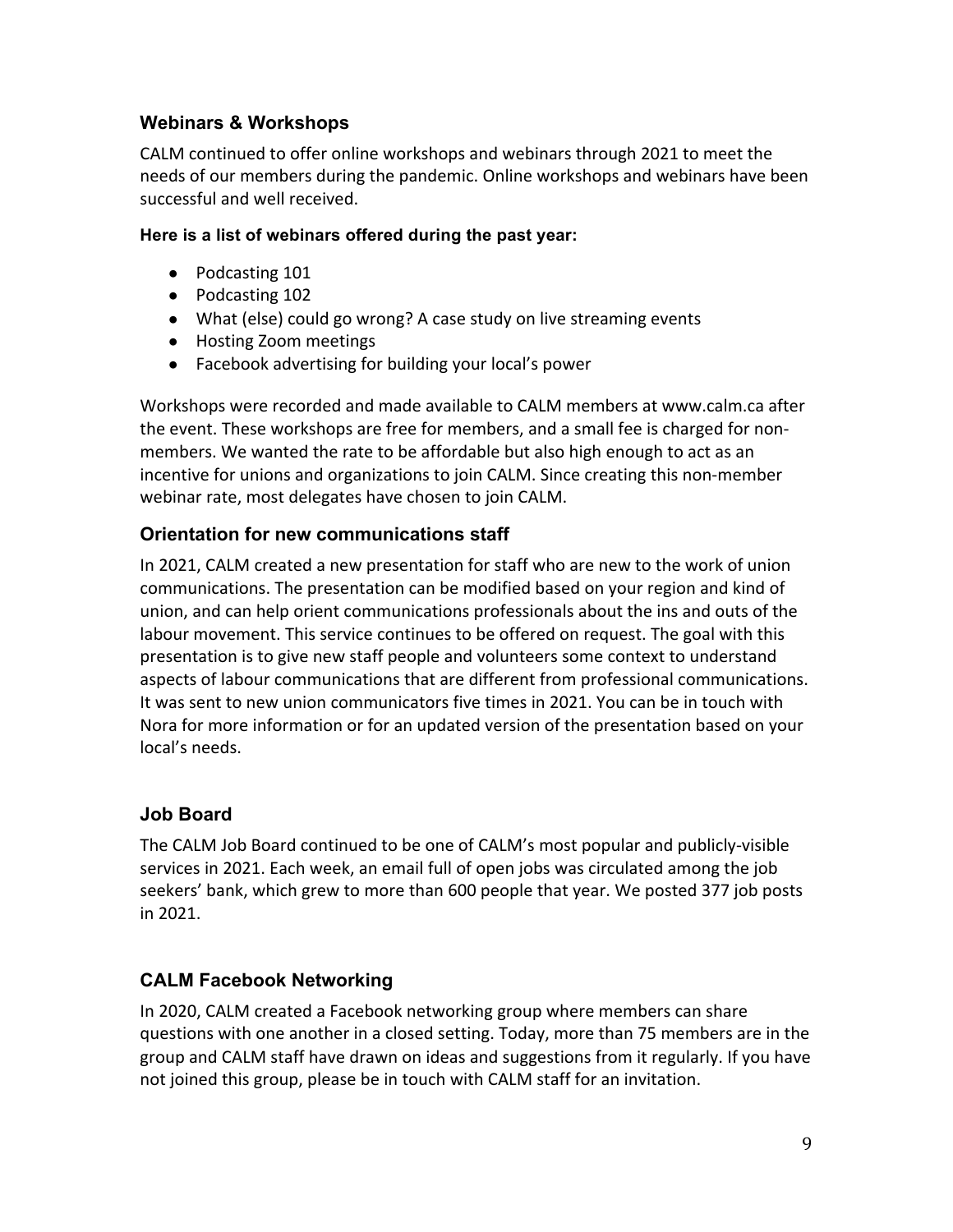#### **Webinars & Workshops**

CALM continued to offer online workshops and webinars through 2021 to meet the needs of our members during the pandemic. Online workshops and webinars have been successful and well received.

#### **Here is a list of webinars offered during the past year:**

- Podcasting 101
- Podcasting 102
- What (else) could go wrong? A case study on live streaming events
- Hosting Zoom meetings
- Facebook advertising for building your local's power

Workshops were recorded and made available to CALM members at www.calm.ca after the event. These workshops are free for members, and a small fee is charged for nonmembers. We wanted the rate to be affordable but also high enough to act as an incentive for unions and organizations to join CALM. Since creating this non-member webinar rate, most delegates have chosen to join CALM.

#### **Orientation for new communications staff**

In 2021, CALM created a new presentation for staff who are new to the work of union communications. The presentation can be modified based on your region and kind of union, and can help orient communications professionals about the ins and outs of the labour movement. This service continues to be offered on request. The goal with this presentation is to give new staff people and volunteers some context to understand aspects of labour communications that are different from professional communications. It was sent to new union communicators five times in 2021. You can be in touch with Nora for more information or for an updated version of the presentation based on your local's needs.

#### **Job Board**

The CALM Job Board continued to be one of CALM's most popular and publicly-visible services in 2021. Each week, an email full of open jobs was circulated among the job seekers' bank, which grew to more than 600 people that year. We posted 377 job posts in 2021.

#### **CALM Facebook Networking**

In 2020, CALM created a Facebook networking group where members can share questions with one another in a closed setting. Today, more than 75 members are in the group and CALM staff have drawn on ideas and suggestions from it regularly. If you have not joined this group, please be in touch with CALM staff for an invitation.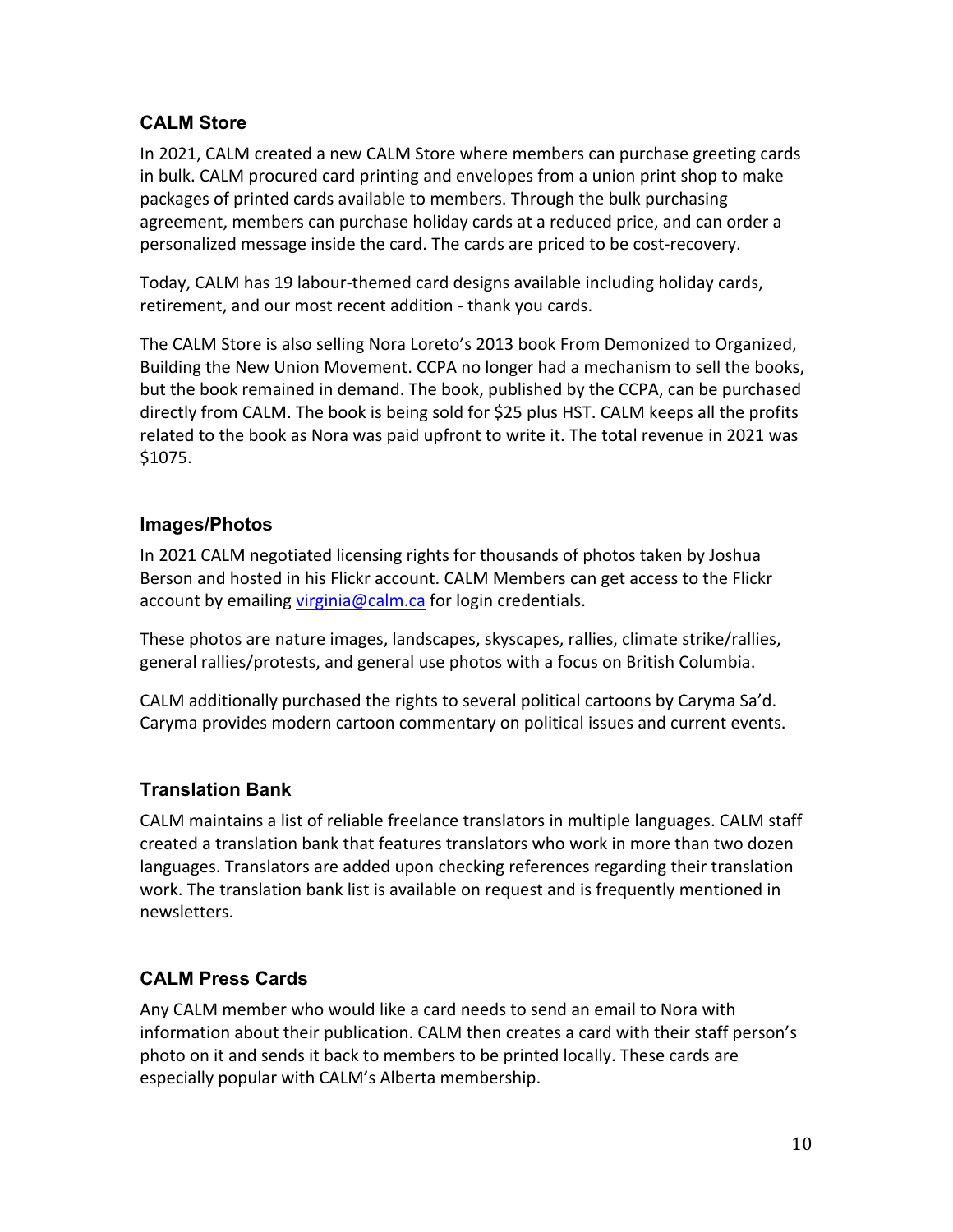#### **CALM Store**

In 2021, CALM created a new CALM Store where members can purchase greeting cards in bulk. CALM procured card printing and envelopes from a union print shop to make packages of printed cards available to members. Through the bulk purchasing agreement, members can purchase holiday cards at a reduced price, and can order a personalized message inside the card. The cards are priced to be cost-recovery.

Today, CALM has 19 labour-themed card designs available including holiday cards, retirement, and our most recent addition - thank you cards.

The CALM Store is also selling Nora Loreto's 2013 book From Demonized to Organized, Building the New Union Movement. CCPA no longer had a mechanism to sell the books, but the book remained in demand. The book, published by the CCPA, can be purchased directly from CALM. The book is being sold for \$25 plus HST. CALM keeps all the profits related to the book as Nora was paid upfront to write it. The total revenue in 2021 was \$1075.

#### **Images/Photos**

In 2021 CALM negotiated licensing rights for thousands of photos taken by Joshua Berson and hosted in his Flickr account. CALM Members can get access to the Flickr account by emailing virginia@calm.ca for login credentials.

These photos are nature images, landscapes, skyscapes, rallies, climate strike/rallies, general rallies/protests, and general use photos with a focus on British Columbia.

CALM additionally purchased the rights to several political cartoons by Caryma Sa'd. Caryma provides modern cartoon commentary on political issues and current events.

#### **Translation Bank**

CALM maintains a list of reliable freelance translators in multiple languages. CALM staff created a translation bank that features translators who work in more than two dozen languages. Translators are added upon checking references regarding their translation work. The translation bank list is available on request and is frequently mentioned in newsletters.!

#### **CALM Press Cards**

Any CALM member who would like a card needs to send an email to Nora with information about their publication. CALM then creates a card with their staff person's photo on it and sends it back to members to be printed locally. These cards are especially popular with CALM's Alberta membership.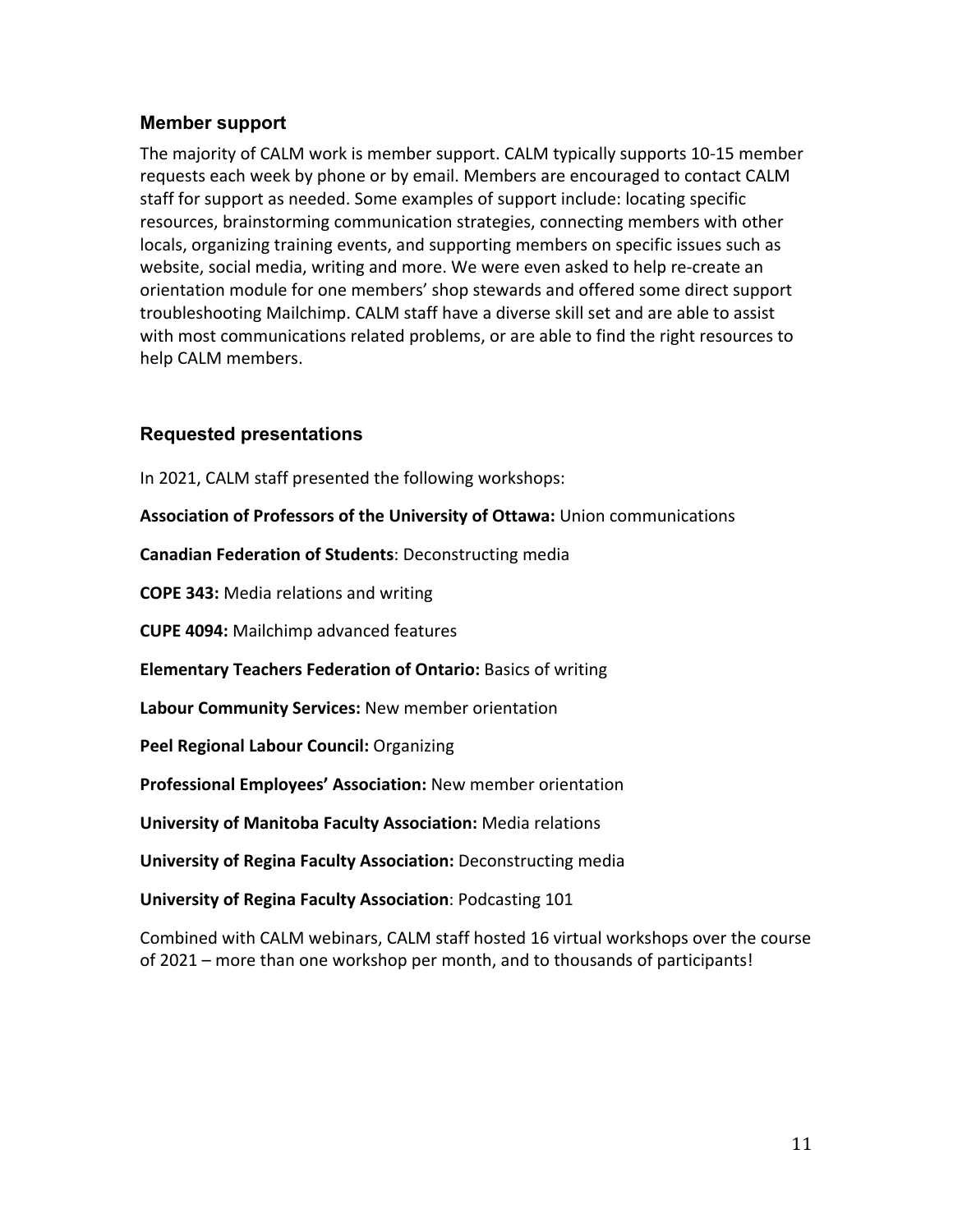#### **Member support**

The majority of CALM work is member support. CALM typically supports 10-15 member requests each week by phone or by email. Members are encouraged to contact CALM staff for support as needed. Some examples of support include: locating specific resources, brainstorming communication strategies, connecting members with other locals, organizing training events, and supporting members on specific issues such as website, social media, writing and more. We were even asked to help re-create an orientation module for one members' shop stewards and offered some direct support troubleshooting Mailchimp. CALM staff have a diverse skill set and are able to assist with most communications related problems, or are able to find the right resources to help CALM members.

#### **Requested presentations**

In 2021, CALM staff presented the following workshops:

Association of Professors of the University of Ottawa: Union communications

**Canadian Federation of Students: Deconstructing media** 

**COPE 343: Media relations and writing** 

**CUPE 4094: Mailchimp advanced features** 

**Elementary Teachers Federation of Ontario:** Basics of writing

**Labour Community Services: New member orientation** 

**Peel Regional Labour Council: Organizing** 

Professional Employees' Association: New member orientation

**University of Manitoba Faculty Association: Media relations** 

**University of Regina Faculty Association:** Deconstructing media

**University of Regina Faculty Association: Podcasting 101** 

Combined with CALM webinars, CALM staff hosted 16 virtual workshops over the course of 2021 – more than one workshop per month, and to thousands of participants!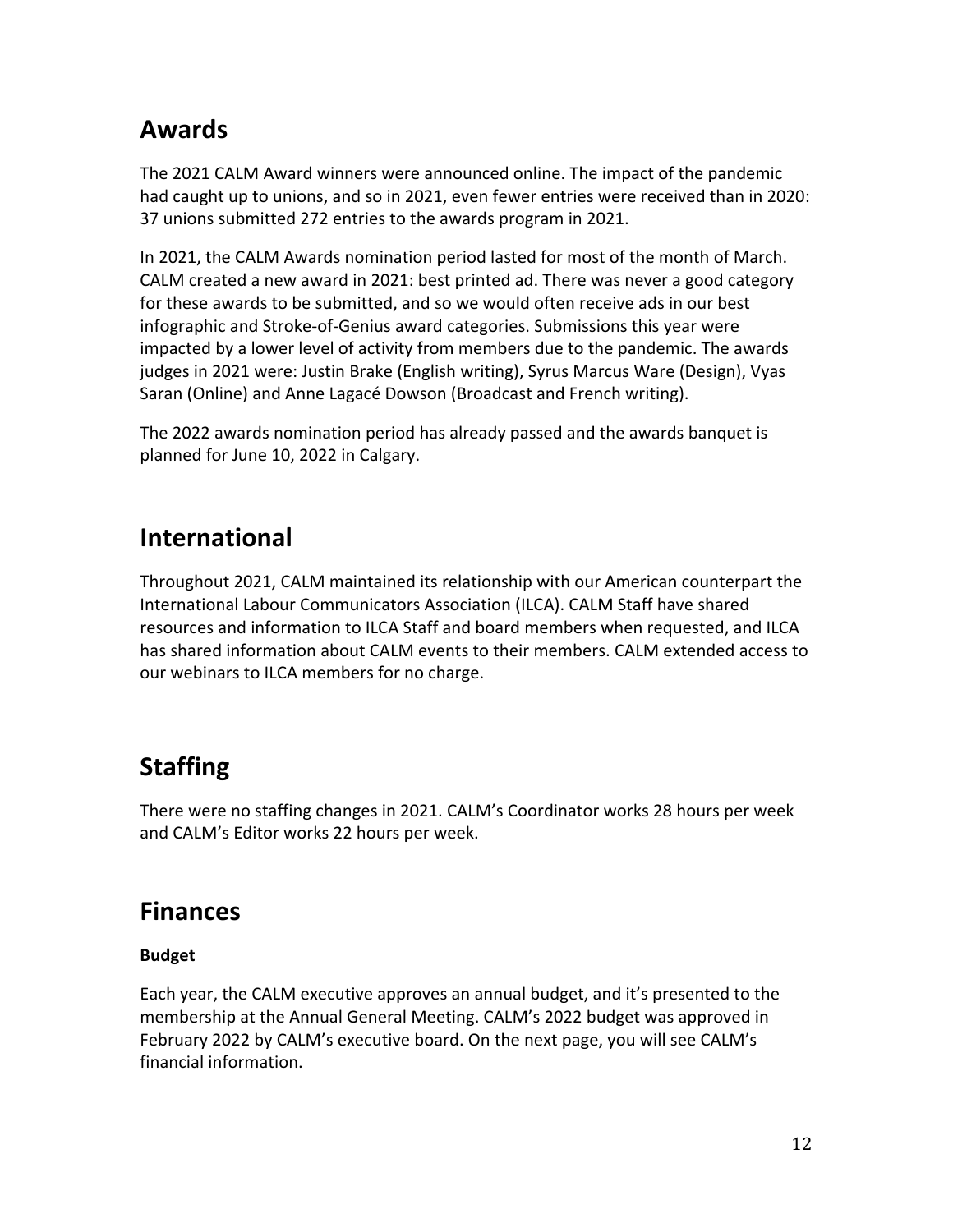## **Awards**

The 2021 CALM Award winners were announced online. The impact of the pandemic had caught up to unions, and so in 2021, even fewer entries were received than in 2020: 37 unions submitted 272 entries to the awards program in 2021.

In 2021, the CALM Awards nomination period lasted for most of the month of March. CALM created a new award in 2021: best printed ad. There was never a good category for these awards to be submitted, and so we would often receive ads in our best infographic and Stroke-of-Genius award categories. Submissions this year were impacted by a lower level of activity from members due to the pandemic. The awards judges in 2021 were: Justin Brake (English writing), Syrus Marcus Ware (Design), Vyas Saran (Online) and Anne Lagacé Dowson (Broadcast and French writing).

The 2022 awards nomination period has already passed and the awards banquet is planned for June 10, 2022 in Calgary.

## **International**

Throughout 2021, CALM maintained its relationship with our American counterpart the International Labour Communicators Association (ILCA). CALM Staff have shared resources and information to ILCA Staff and board members when requested, and ILCA has shared information about CALM events to their members. CALM extended access to our webinars to ILCA members for no charge.

## **Staffing**

There were no staffing changes in 2021. CALM's Coordinator works 28 hours per week and CALM's Editor works 22 hours per week.

## **Finances**

#### **Budget**

Each year, the CALM executive approves an annual budget, and it's presented to the membership at the Annual General Meeting. CALM's 2022 budget was approved in February 2022 by CALM's executive board. On the next page, you will see CALM's financial information.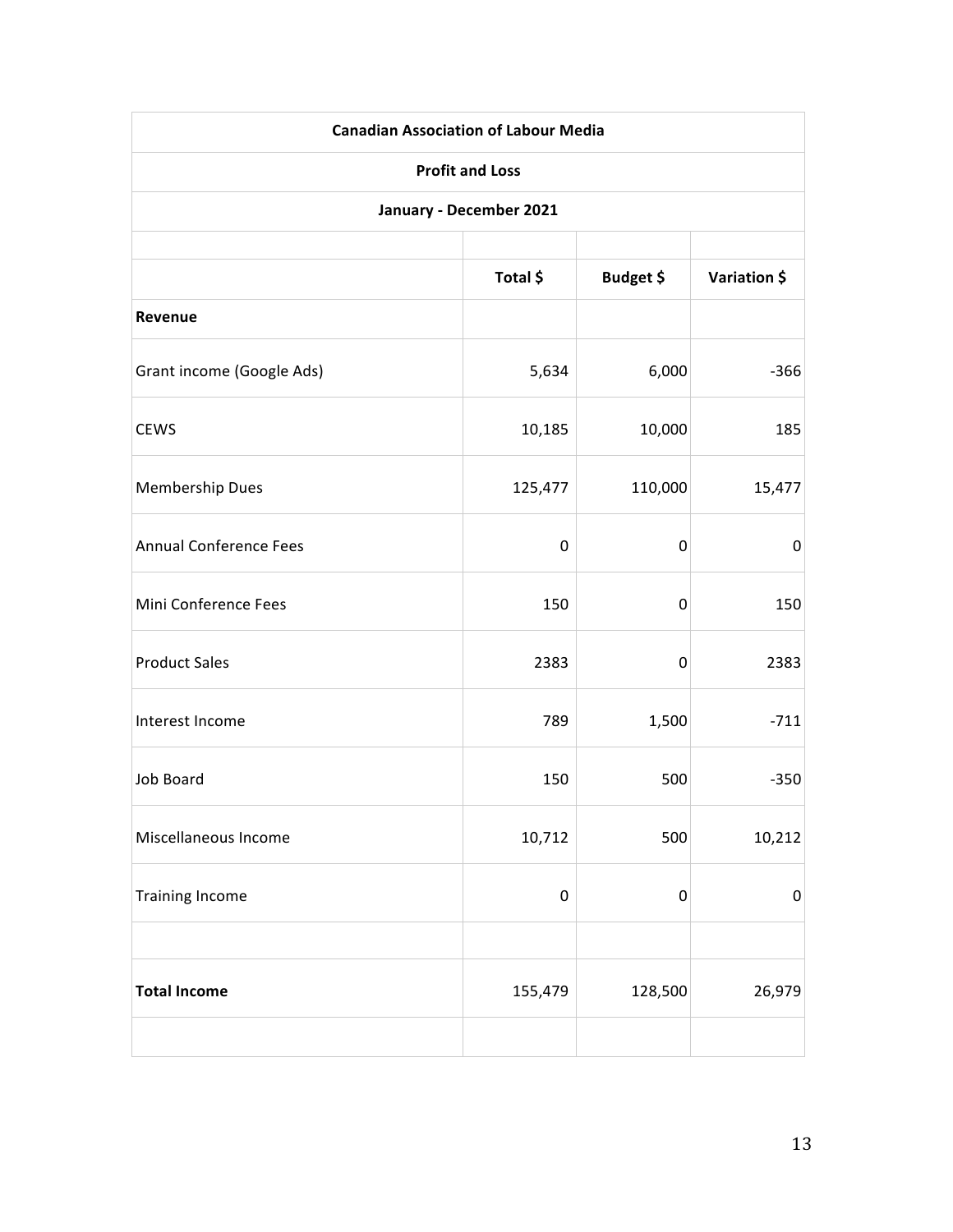| <b>Canadian Association of Labour Media</b> |           |                  |              |
|---------------------------------------------|-----------|------------------|--------------|
| <b>Profit and Loss</b>                      |           |                  |              |
| January - December 2021                     |           |                  |              |
|                                             | Total \$  | Budget \$        | Variation \$ |
| Revenue                                     |           |                  |              |
| Grant income (Google Ads)                   | 5,634     | 6,000            | $-366$       |
| <b>CEWS</b>                                 | 10,185    | 10,000           | 185          |
| <b>Membership Dues</b>                      | 125,477   | 110,000          | 15,477       |
| <b>Annual Conference Fees</b>               | 0         | $\mathbf 0$      | 0            |
| Mini Conference Fees                        | 150       | 0                | 150          |
| <b>Product Sales</b>                        | 2383      | $\mathbf 0$      | 2383         |
| Interest Income                             | 789       | 1,500            | $-711$       |
| Job Board                                   | 150       | 500              | $-350$       |
| Miscellaneous Income                        | 10,712    | 500              | 10,212       |
| <b>Training Income</b>                      | $\pmb{0}$ | $\boldsymbol{0}$ | $\pmb{0}$    |
|                                             |           |                  |              |
| <b>Total Income</b>                         | 155,479   | 128,500          | 26,979       |
|                                             |           |                  |              |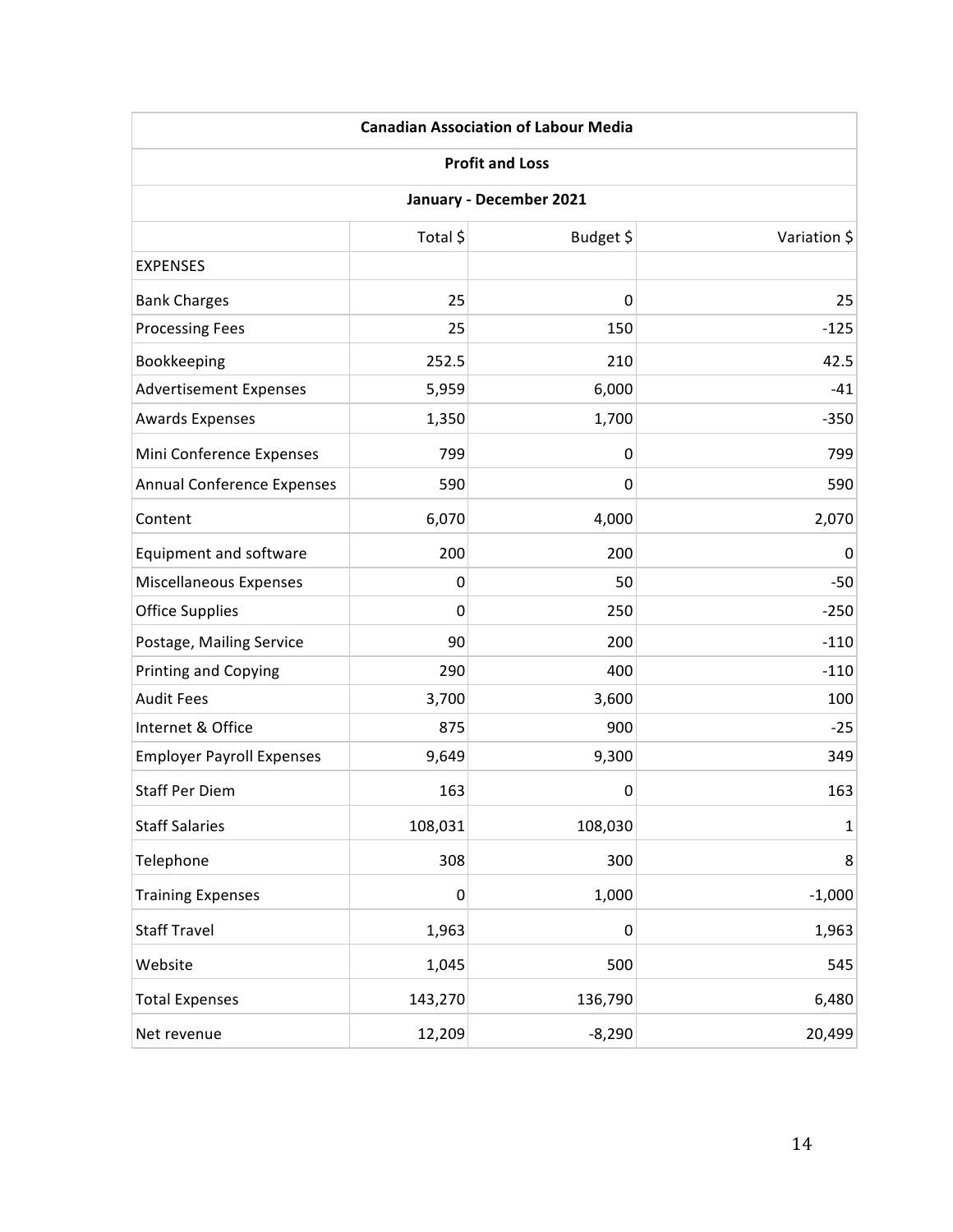| <b>Canadian Association of Labour Media</b><br><b>Profit and Loss</b> |             |             |              |
|-----------------------------------------------------------------------|-------------|-------------|--------------|
|                                                                       |             |             |              |
|                                                                       | Total \$    | Budget \$   | Variation \$ |
| <b>EXPENSES</b>                                                       |             |             |              |
| <b>Bank Charges</b>                                                   | 25          | $\mathbf 0$ | 25           |
| <b>Processing Fees</b>                                                | 25          | 150         | $-125$       |
| Bookkeeping                                                           | 252.5       | 210         | 42.5         |
| <b>Advertisement Expenses</b>                                         | 5,959       | 6,000       | $-41$        |
| <b>Awards Expenses</b>                                                | 1,350       | 1,700       | $-350$       |
| Mini Conference Expenses                                              | 799         | 0           | 799          |
| Annual Conference Expenses                                            | 590         | 0           | 590          |
| Content                                                               | 6,070       | 4,000       | 2,070        |
| Equipment and software                                                | 200         | 200         | 0            |
| Miscellaneous Expenses                                                | 0           | 50          | $-50$        |
| <b>Office Supplies</b>                                                | $\mathbf 0$ | 250         | $-250$       |
| Postage, Mailing Service                                              | 90          | 200         | $-110$       |
| <b>Printing and Copying</b>                                           | 290         | 400         | $-110$       |
| <b>Audit Fees</b>                                                     | 3,700       | 3,600       | 100          |
| Internet & Office                                                     | 875         | 900         | $-25$        |
| <b>Employer Payroll Expenses</b>                                      | 9,649       | 9,300       | 349          |
| <b>Staff Per Diem</b>                                                 | 163         | 0           | 163          |
| <b>Staff Salaries</b>                                                 | 108,031     | 108,030     | $\mathbf 1$  |
| Telephone                                                             | 308         | 300         | 8            |
| <b>Training Expenses</b>                                              | $\pmb{0}$   | 1,000       | $-1,000$     |
| <b>Staff Travel</b>                                                   | 1,963       | 0           | 1,963        |
| Website                                                               | 1,045       | 500         | 545          |
| <b>Total Expenses</b>                                                 | 143,270     | 136,790     | 6,480        |
| Net revenue                                                           | 12,209      | $-8,290$    | 20,499       |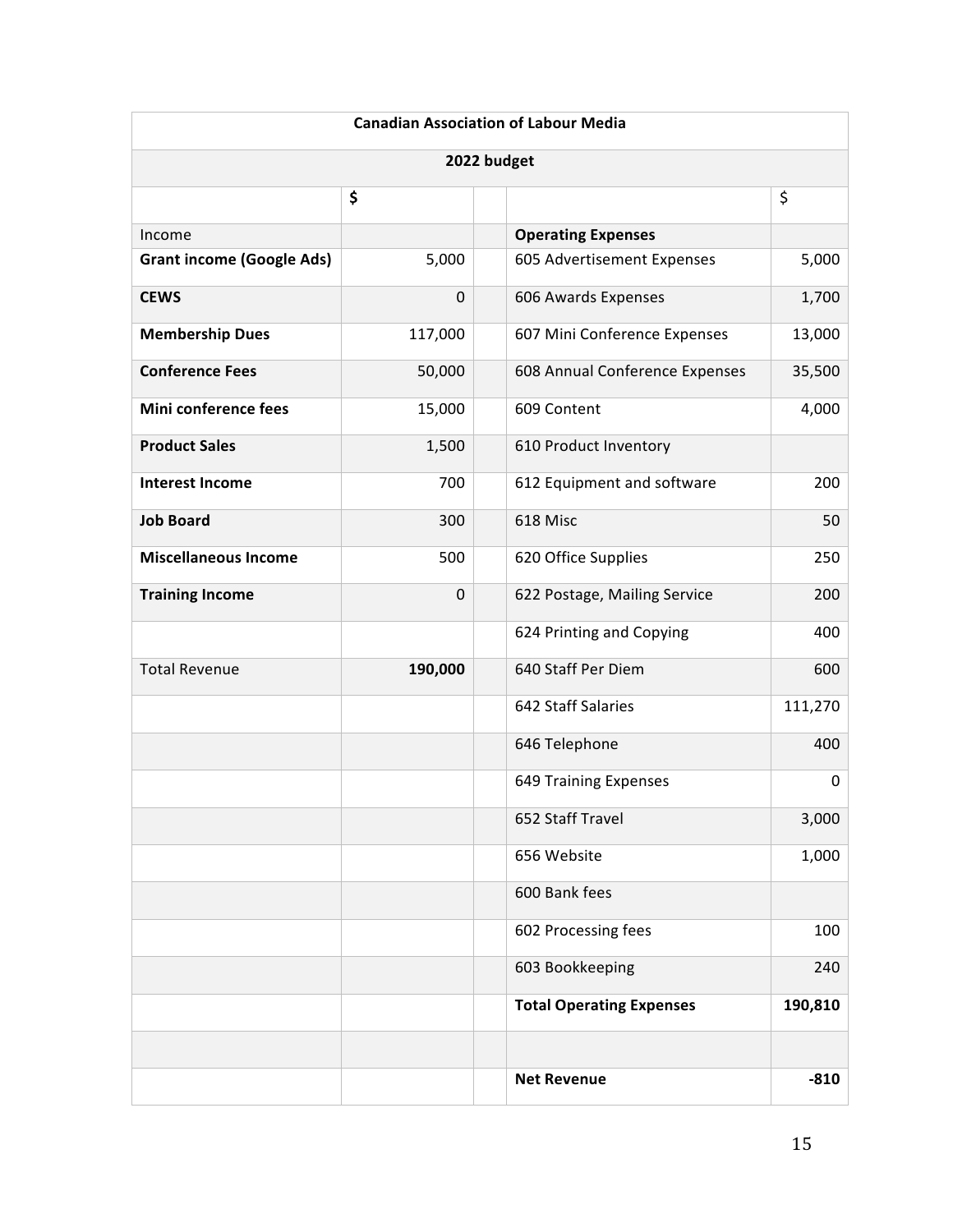| <b>Canadian Association of Labour Media</b> |             |                                 |         |
|---------------------------------------------|-------------|---------------------------------|---------|
| 2022 budget                                 |             |                                 |         |
|                                             | \$          |                                 | \$      |
| Income                                      |             | <b>Operating Expenses</b>       |         |
| <b>Grant income (Google Ads)</b>            | 5,000       | 605 Advertisement Expenses      | 5,000   |
| <b>CEWS</b>                                 | $\mathbf 0$ | 606 Awards Expenses             | 1,700   |
| <b>Membership Dues</b>                      | 117,000     | 607 Mini Conference Expenses    | 13,000  |
| <b>Conference Fees</b>                      | 50,000      | 608 Annual Conference Expenses  | 35,500  |
| Mini conference fees                        | 15,000      | 609 Content                     | 4,000   |
| <b>Product Sales</b>                        | 1,500       | 610 Product Inventory           |         |
| <b>Interest Income</b>                      | 700         | 612 Equipment and software      | 200     |
| <b>Job Board</b>                            | 300         | 618 Misc                        | 50      |
| <b>Miscellaneous Income</b>                 | 500         | 620 Office Supplies             | 250     |
| <b>Training Income</b>                      | $\pmb{0}$   | 622 Postage, Mailing Service    | 200     |
|                                             |             | 624 Printing and Copying        | 400     |
| <b>Total Revenue</b>                        | 190,000     | 640 Staff Per Diem              | 600     |
|                                             |             | 642 Staff Salaries              | 111,270 |
|                                             |             | 646 Telephone                   | 400     |
|                                             |             | 649 Training Expenses           | 0       |
|                                             |             | 652 Staff Travel                | 3,000   |
|                                             |             | 656 Website                     | 1,000   |
|                                             |             | 600 Bank fees                   |         |
|                                             |             | 602 Processing fees             | 100     |
|                                             |             | 603 Bookkeeping                 | 240     |
|                                             |             | <b>Total Operating Expenses</b> | 190,810 |
|                                             |             |                                 |         |
|                                             |             | <b>Net Revenue</b>              | $-810$  |